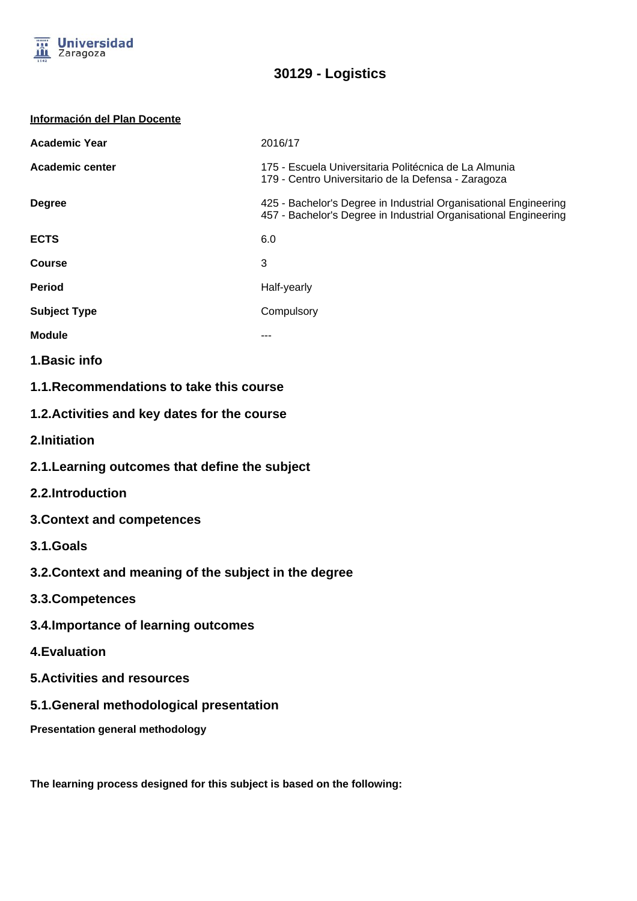

| Información del Plan Docente |  |
|------------------------------|--|
|                              |  |

| <b>Academic Year</b> | 2016/17                                                                                                                              |
|----------------------|--------------------------------------------------------------------------------------------------------------------------------------|
| Academic center      | 175 - Escuela Universitaria Politécnica de La Almunia<br>179 - Centro Universitario de la Defensa - Zaragoza                         |
| <b>Degree</b>        | 425 - Bachelor's Degree in Industrial Organisational Engineering<br>457 - Bachelor's Degree in Industrial Organisational Engineering |
| <b>ECTS</b>          | 6.0                                                                                                                                  |
| <b>Course</b>        | 3                                                                                                                                    |
| <b>Period</b>        | Half-yearly                                                                                                                          |
| <b>Subject Type</b>  | Compulsory                                                                                                                           |
| <b>Module</b>        |                                                                                                                                      |
| 1. Basic info        |                                                                                                                                      |

- **1.1.Recommendations to take this course**
- **1.2.Activities and key dates for the course**
- **2.Initiation**
- **2.1.Learning outcomes that define the subject**
- **2.2.Introduction**
- **3.Context and competences**
- **3.1.Goals**
- **3.2.Context and meaning of the subject in the degree**
- **3.3.Competences**
- **3.4.Importance of learning outcomes**
- **4.Evaluation**
- **5.Activities and resources**
- **5.1.General methodological presentation**
- **Presentation general methodology**

**The learning process designed for this subject is based on the following:**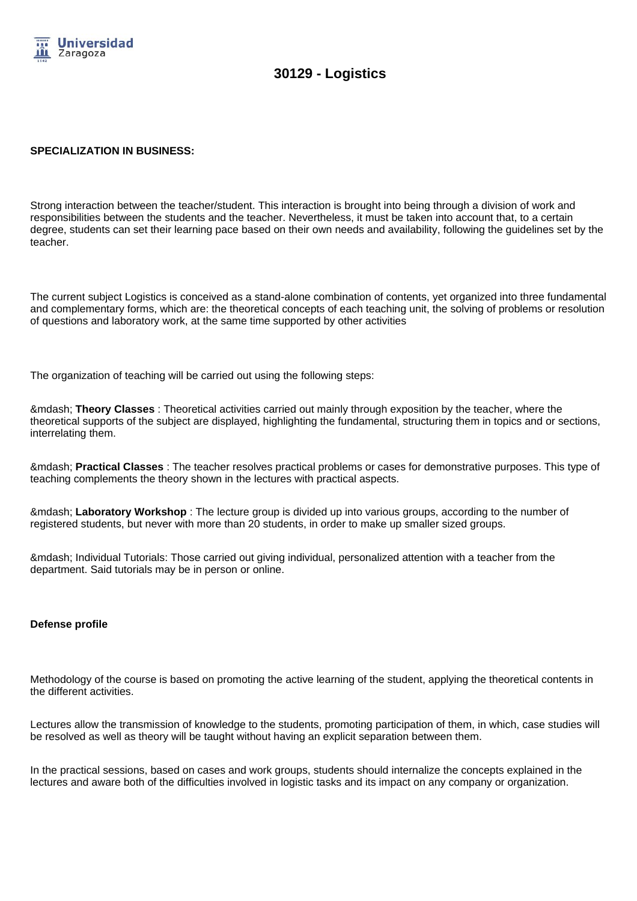

#### **SPECIALIZATION IN BUSINESS:**

Strong interaction between the teacher/student. This interaction is brought into being through a division of work and responsibilities between the students and the teacher. Nevertheless, it must be taken into account that, to a certain degree, students can set their learning pace based on their own needs and availability, following the guidelines set by the teacher.

The current subject Logistics is conceived as a stand-alone combination of contents, yet organized into three fundamental and complementary forms, which are: the theoretical concepts of each teaching unit, the solving of problems or resolution of questions and laboratory work, at the same time supported by other activities

The organization of teaching will be carried out using the following steps:

— **Theory Classes** : Theoretical activities carried out mainly through exposition by the teacher, where the theoretical supports of the subject are displayed, highlighting the fundamental, structuring them in topics and or sections, interrelating them.

— **Practical Classes** : The teacher resolves practical problems or cases for demonstrative purposes. This type of teaching complements the theory shown in the lectures with practical aspects.

— **Laboratory Workshop** : The lecture group is divided up into various groups, according to the number of registered students, but never with more than 20 students, in order to make up smaller sized groups.

— Individual Tutorials: Those carried out giving individual, personalized attention with a teacher from the department. Said tutorials may be in person or online.

#### **Defense profile**

Methodology of the course is based on promoting the active learning of the student, applying the theoretical contents in the different activities.

Lectures allow the transmission of knowledge to the students, promoting participation of them, in which, case studies will be resolved as well as theory will be taught without having an explicit separation between them.

In the practical sessions, based on cases and work groups, students should internalize the concepts explained in the lectures and aware both of the difficulties involved in logistic tasks and its impact on any company or organization.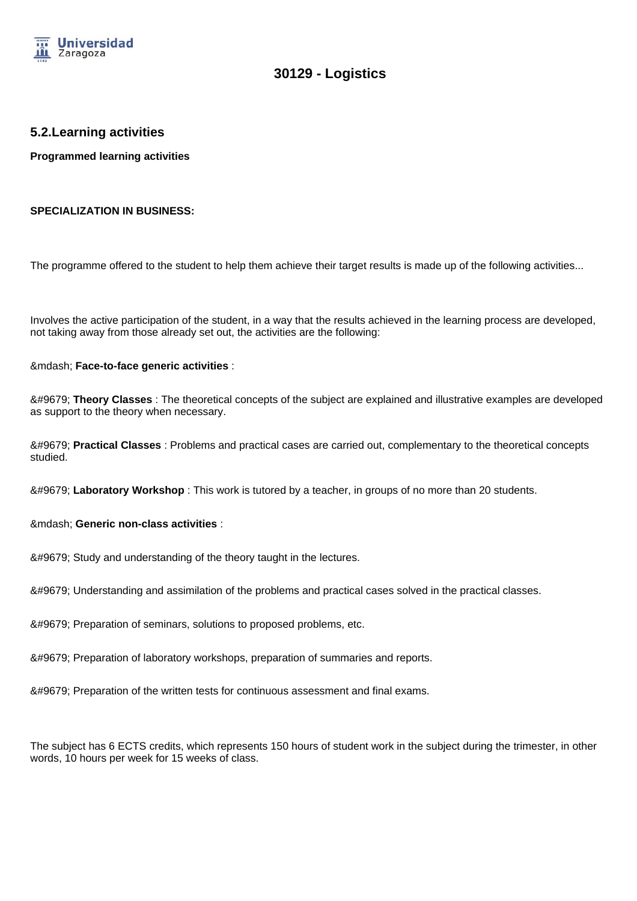

### **5.2.Learning activities**

**Programmed learning activities**

#### **SPECIALIZATION IN BUSINESS:**

The programme offered to the student to help them achieve their target results is made up of the following activities...

Involves the active participation of the student, in a way that the results achieved in the learning process are developed, not taking away from those already set out, the activities are the following:

— **Face-to-face generic activities** :

● **Theory Classes** : The theoretical concepts of the subject are explained and illustrative examples are developed as support to the theory when necessary.

● **Practical Classes** : Problems and practical cases are carried out, complementary to the theoretical concepts studied.

● Laboratory Workshop : This work is tutored by a teacher, in groups of no more than 20 students.

— **Generic non-class activities** :

&#9679: Study and understanding of the theory taught in the lectures.

● Understanding and assimilation of the problems and practical cases solved in the practical classes.

● Preparation of seminars, solutions to proposed problems, etc.

● Preparation of laboratory workshops, preparation of summaries and reports.

● Preparation of the written tests for continuous assessment and final exams.

The subject has 6 ECTS credits, which represents 150 hours of student work in the subject during the trimester, in other words, 10 hours per week for 15 weeks of class.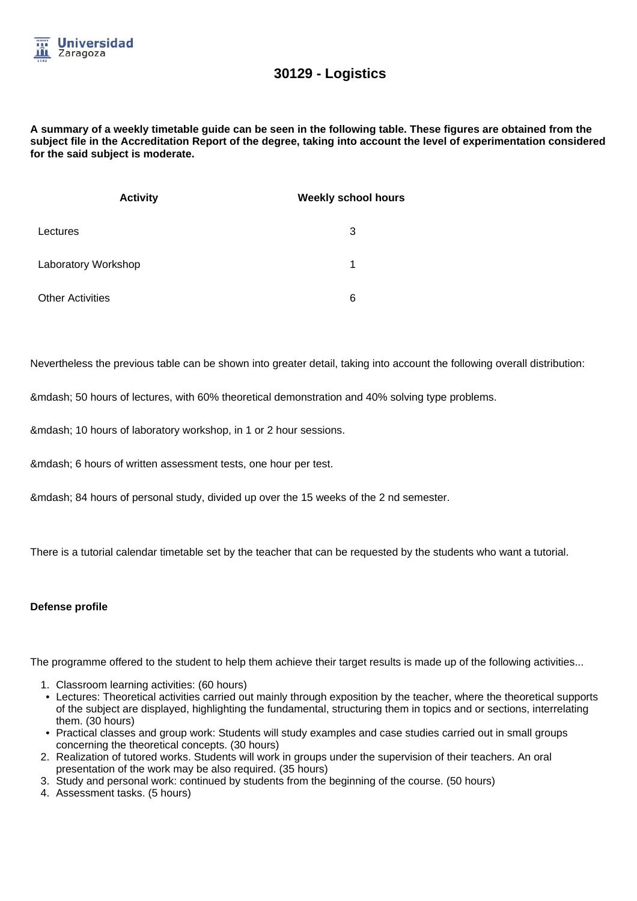

#### **A summary of a weekly timetable guide can be seen in the following table. These figures are obtained from the subject file in the Accreditation Report of the degree, taking into account the level of experimentation considered for the said subject is moderate.**

| <b>Activity</b>         | <b>Weekly school hours</b> |
|-------------------------|----------------------------|
| Lectures                | 3                          |
| Laboratory Workshop     | 1                          |
| <b>Other Activities</b> | 6                          |

Nevertheless the previous table can be shown into greater detail, taking into account the following overall distribution:

— 50 hours of lectures, with 60% theoretical demonstration and 40% solving type problems.

— 10 hours of laboratory workshop, in 1 or 2 hour sessions.

— 6 hours of written assessment tests, one hour per test.

— 84 hours of personal study, divided up over the 15 weeks of the 2 nd semester.

There is a tutorial calendar timetable set by the teacher that can be requested by the students who want a tutorial.

#### **Defense profile**

The programme offered to the student to help them achieve their target results is made up of the following activities...

- 1. Classroom learning activities: (60 hours)
- Lectures: Theoretical activities carried out mainly through exposition by the teacher, where the theoretical supports of the subject are displayed, highlighting the fundamental, structuring them in topics and or sections, interrelating them. (30 hours)
- Practical classes and group work: Students will study examples and case studies carried out in small groups concerning the theoretical concepts. (30 hours)
- 2. Realization of tutored works. Students will work in groups under the supervision of their teachers. An oral presentation of the work may be also required. (35 hours)
- 3. Study and personal work: continued by students from the beginning of the course. (50 hours)
- 4. Assessment tasks. (5 hours)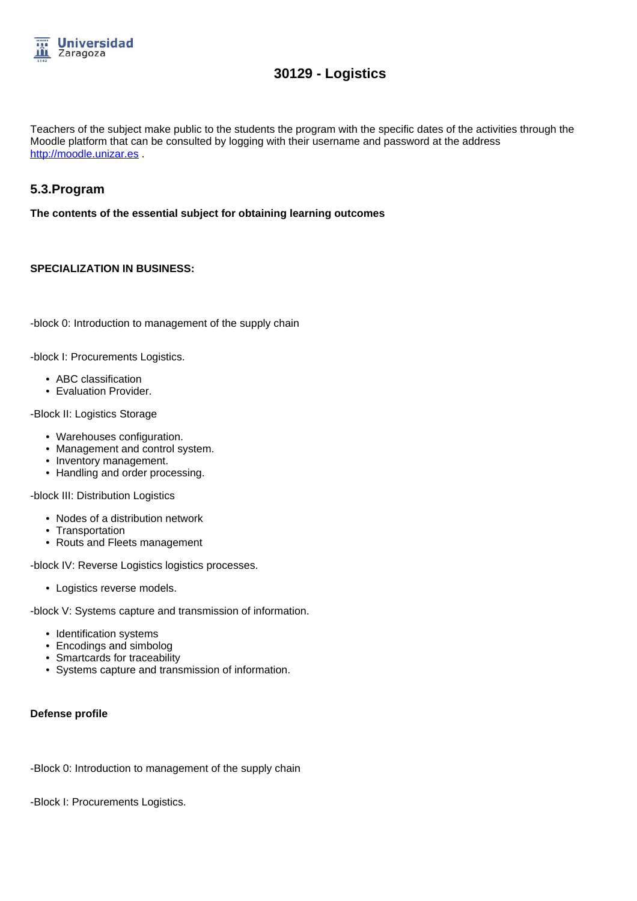

Teachers of the subject make public to the students the program with the specific dates of the activities through the Moodle platform that can be consulted by logging with their username and password at the address http://moodle.unizar.es

## **5.3.Program**

**The contents of the essential subject for obtaining learning outcomes**

#### **SPECIALIZATION IN BUSINESS:**

-block 0: Introduction to management of the supply chain

-block I: Procurements Logistics.

- ABC classification
- Evaluation Provider.

-Block II: Logistics Storage

- Warehouses configuration.
- Management and control system.
- Inventory management.
- Handling and order processing.

-block III: Distribution Logistics

- Nodes of a distribution network
- Transportation
- Routs and Fleets management

-block IV: Reverse Logistics logistics processes.

• Logistics reverse models.

-block V: Systems capture and transmission of information.

- Identification systems
- Encodings and simbolog
- Smartcards for traceability
- Systems capture and transmission of information.

#### **Defense profile**

-Block 0: Introduction to management of the supply chain

-Block I: Procurements Logistics.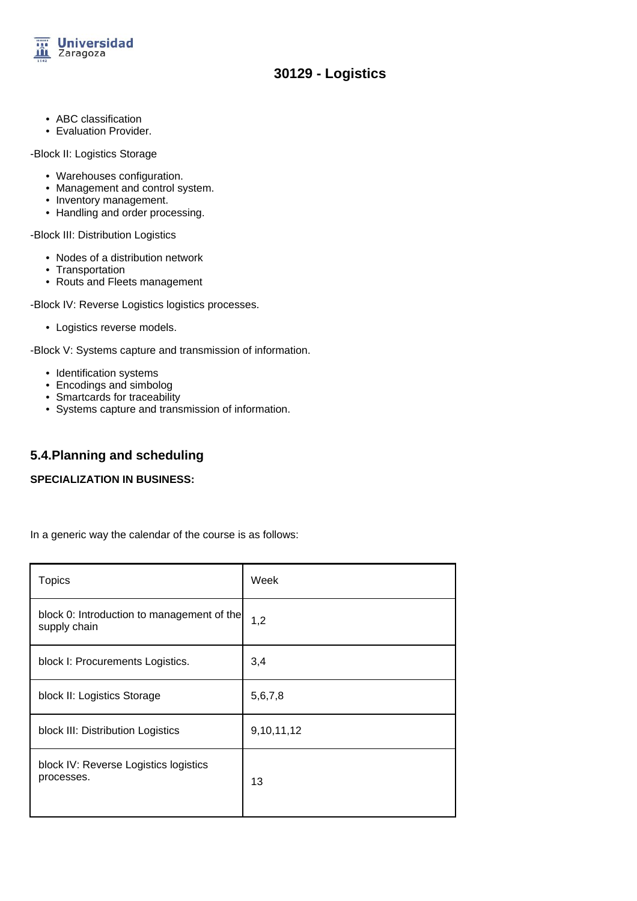

- ABC classification
- Evaluation Provider.

-Block II: Logistics Storage

- Warehouses configuration.
- Management and control system.
- Inventory management.
- Handling and order processing.

-Block III: Distribution Logistics

- Nodes of a distribution network
- Transportation
- Routs and Fleets management

-Block IV: Reverse Logistics logistics processes.

• Logistics reverse models.

-Block V: Systems capture and transmission of information.

- Identification systems
- Encodings and simbolog
- Smartcards for traceability
- Systems capture and transmission of information.

## **5.4.Planning and scheduling**

#### **SPECIALIZATION IN BUSINESS:**

In a generic way the calendar of the course is as follows:

| <b>Topics</b>                                              | Week       |
|------------------------------------------------------------|------------|
| block 0: Introduction to management of the<br>supply chain | 1,2        |
| block I: Procurements Logistics.                           | 3,4        |
| block II: Logistics Storage                                | 5,6,7,8    |
| block III: Distribution Logistics                          | 9,10,11,12 |
| block IV: Reverse Logistics logistics<br>processes.        | 13         |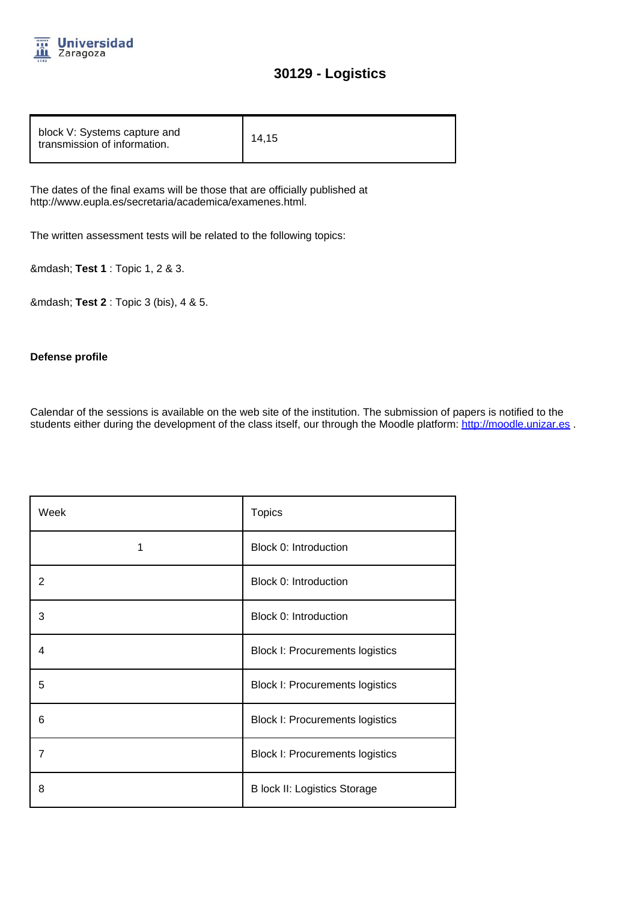

| block V: Systems capture and<br>14.15<br>transmission of information. |  |
|-----------------------------------------------------------------------|--|
|-----------------------------------------------------------------------|--|

The dates of the final exams will be those that are officially published at http://www.eupla.es/secretaria/academica/examenes.html.

The written assessment tests will be related to the following topics:

— **Test 1** : Topic 1, 2 & 3.

— **Test 2** : Topic 3 (bis), 4 & 5.

#### **Defense profile**

Calendar of the sessions is available on the web site of the institution. The submission of papers is notified to the students either during the development of the class itself, our through the Moodle platform: http://moodle.unizar.es.

| Week           | <b>Topics</b>                          |
|----------------|----------------------------------------|
| 1              | Block 0: Introduction                  |
| $\overline{2}$ | Block 0: Introduction                  |
| 3              | Block 0: Introduction                  |
| 4              | <b>Block I: Procurements logistics</b> |
| 5              | <b>Block I: Procurements logistics</b> |
| 6              | <b>Block I: Procurements logistics</b> |
| $\overline{7}$ | <b>Block I: Procurements logistics</b> |
| 8              | <b>B lock II: Logistics Storage</b>    |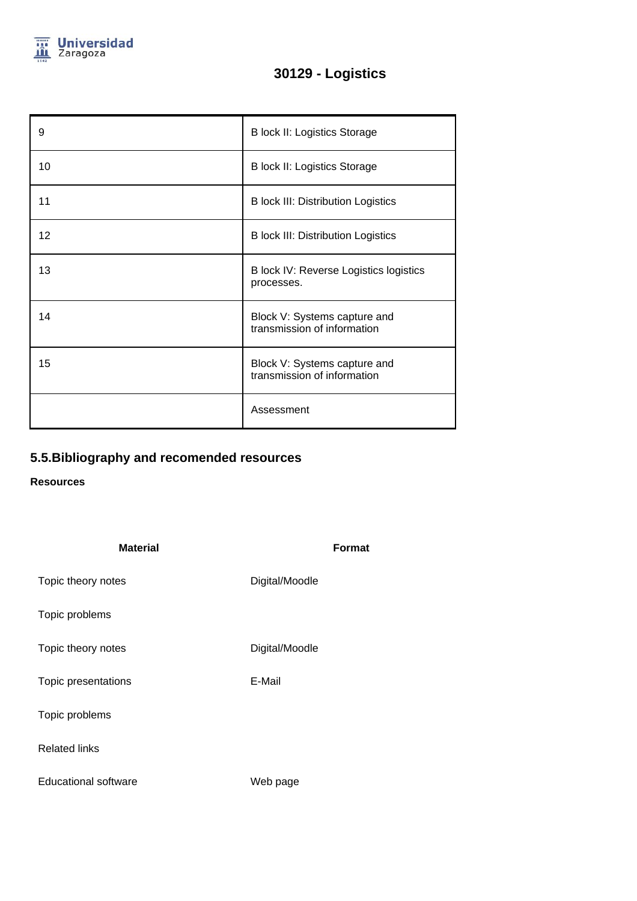

| 9  | <b>B lock II: Logistics Storage</b>                         |
|----|-------------------------------------------------------------|
| 10 | <b>B lock II: Logistics Storage</b>                         |
| 11 | <b>B</b> lock III: Distribution Logistics                   |
| 12 | <b>B</b> lock III: Distribution Logistics                   |
| 13 | B lock IV: Reverse Logistics logistics<br>processes.        |
| 14 | Block V: Systems capture and<br>transmission of information |
| 15 | Block V: Systems capture and<br>transmission of information |
|    | Assessment                                                  |

# **5.5.Bibliography and recomended resources**

## **Resources**

| <b>Material</b>      | <b>Format</b>  |  |
|----------------------|----------------|--|
| Topic theory notes   | Digital/Moodle |  |
| Topic problems       |                |  |
| Topic theory notes   | Digital/Moodle |  |
| Topic presentations  | E-Mail         |  |
| Topic problems       |                |  |
| <b>Related links</b> |                |  |
| Educational software | Web page       |  |